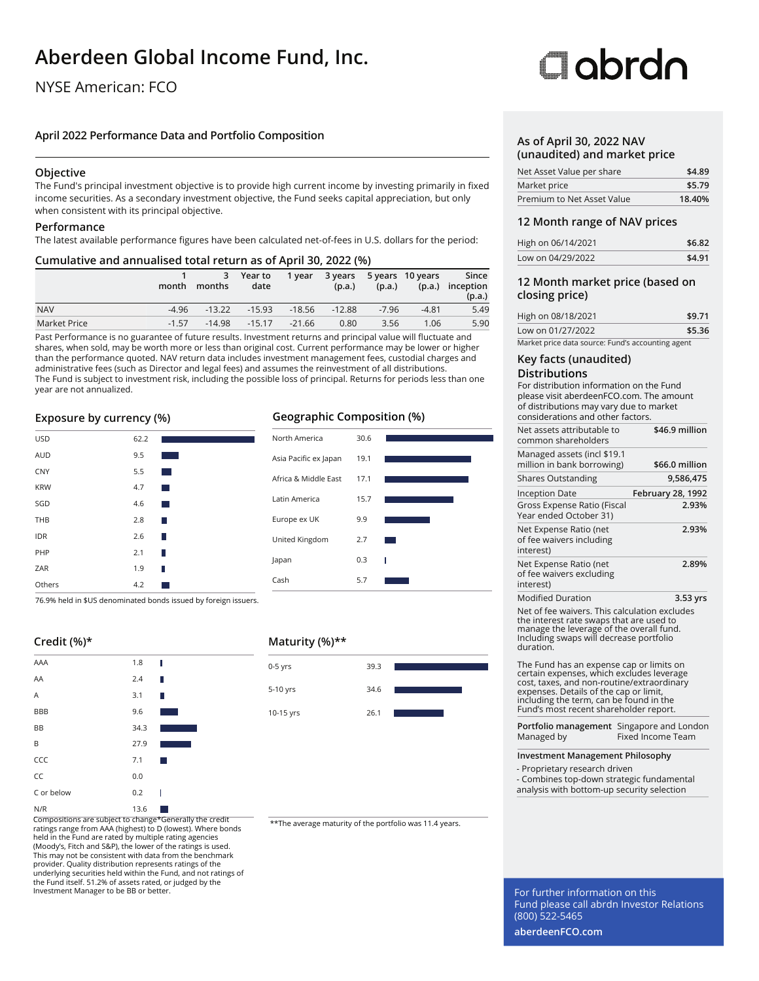# **Aberdeen Global Income Fund, Inc.**

## NYSE American: FCO

### **April 2022 Performance Data and Portfolio Composition**

### **Objective**

The Fund's principal investment objective is to provide high current income by investing primarily in fixed income securities. As a secondary investment objective, the Fund seeks capital appreciation, but only when consistent with its principal objective.

### **Performance**

The latest available performance figures have been calculated net-of-fees in U.S. dollars for the period:

### **Cumulative and annualised total return as of April 30, 2022 (%)**

|              | month   | 3<br>months | Year to<br>date | 1 year   | 3 years<br>(p.a.) | (p.a.)  | 5 years 10 years | Since<br>(p.a.) inception<br>(p.a.) |
|--------------|---------|-------------|-----------------|----------|-------------------|---------|------------------|-------------------------------------|
| <b>NAV</b>   | -4.96   | $-13.22$    | $-15.93$        | $-18.56$ | $-12.88$          | $-7.96$ | $-4.81$          | 5.49                                |
| Market Price | $-1.57$ | $-14.98$    | $-15.17$        | $-21.66$ | 0.80              | 3.56    | 1.06             | 5.90                                |

Past Performance is no guarantee of future results. Investment returns and principal value will fluctuate and shares, when sold, may be worth more or less than original cost. Current performance may be lower or higher than the performance quoted. NAV return data includes investment management fees, custodial charges and administrative fees (such as Director and legal fees) and assumes the reinvestment of all distributions. The Fund is subject to investment risk, including the possible loss of principal. Returns for periods less than one year are not annualized.

### **Exposure by currency (%)**

| <b>USD</b> | 62.2 |                        |
|------------|------|------------------------|
| <b>AUD</b> | 9.5  |                        |
| CNY        | 5.5  | <b>Service Service</b> |
| <b>KRW</b> | 4.7  | <b>Service Service</b> |
| SGD        | 4.6  | <b>Service Service</b> |
| THB        | 2.8  | П                      |
| <b>IDR</b> | 2.6  | П                      |
| PHP        | 2.1  | П                      |
| ZAR        | 1.9  | П                      |
| Others     | 4.2  | <b>Service Service</b> |

76.9% held in \$US denominated bonds issued by foreign issuers.

I

## **Credit (%)\*** AAA 1.8



Compositions are subject to change\*Generally the credit ratings range from AAA (highest) to D (lowest). Where bonds held in the Fund are rated by multiple rating agencies (Moody's, Fitch and S&P), the lower of the ratings is used. This may not be consistent with data from the benchmark provider. Quality distribution represents ratings of the underlying securities held within the Fund, and not ratings of the Fund itself. 51.2% of assets rated, or judged by the Investment Manager to be BB or better.

### **Geographic Composition (%)**



### **Maturity (%)\*\***



\*\*The average maturity of the portfolio was 11.4 years.

# **Clobrdo**

### **As of April 30, 2022 NAV (unaudited) and market price**

| Net Asset Value per share  | \$4.89 |
|----------------------------|--------|
| Market price               | \$5.79 |
| Premium to Net Asset Value | 18.40% |

### **12 Month range of NAV prices**

| High on 06/14/2021 | \$6.82 |
|--------------------|--------|
| Low on 04/29/2022  | \$4.91 |

### **12 Month market price (based on closing price)**

| High on 08/18/2021                                | \$9.71 |
|---------------------------------------------------|--------|
| Low on 01/27/2022                                 | \$5.36 |
| Market price data source: Fund's accounting agent |        |

### **Key facts (unaudited)**

### **Distributions**

For distribution information on the Fund please visit aberdeenFCO.com. The amount of distributions may vary due to market considerations and other factors.

| Net assets attributable to<br>common shareholders                                                                                                                                             | \$46.9 million    |
|-----------------------------------------------------------------------------------------------------------------------------------------------------------------------------------------------|-------------------|
| Managed assets (incl \$19.1<br>million in bank borrowing)                                                                                                                                     | \$66.0 million    |
| <b>Shares Outstanding</b>                                                                                                                                                                     | 9,586,475         |
| <b>Inception Date</b>                                                                                                                                                                         | February 28, 1992 |
| Gross Expense Ratio (Fiscal<br>Year ended October 31)                                                                                                                                         | 2.93%             |
| Net Expense Ratio (net<br>of fee waivers including<br>interest)                                                                                                                               | 2.93%             |
| Net Expense Ratio (net<br>of fee waivers excluding<br>interest)                                                                                                                               | 2.89%             |
| <b>Modified Duration</b>                                                                                                                                                                      | 3.53 yrs          |
| Net of fee waivers. This calculation excludes<br>the interest rate swaps that are used to<br>manage the leverage of the overall fund.<br>Including swaps will decrease portfolio<br>duration. |                   |

The Fund has an expense cap or limits on certain expenses, which excludes leverage cost, taxes, and non-routine/extraordinary expenses. Details of the cap or limit, including the term, can be found in the Fund's most recent shareholder report.

**Portfolio management** Singapore and London Managed by Fixed Income Team

### **Investment Management Philosophy**

- Proprietary research driven

- Combines top-down strategic fundamental analysis with bottom-up security selection

For further information on this Fund please call abrdn Investor Relations (800) 522-5465

**aberdeenFCO.com**